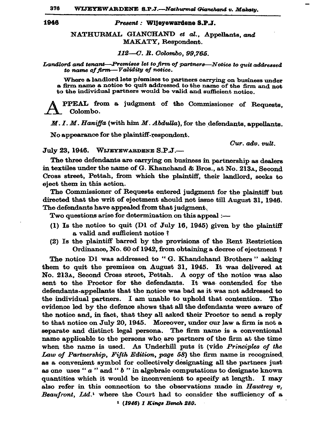376 WIJEYEWARDENE S.P.J.-Nathurmal Gianchand v. Makatu.

1946

## Present: Wijeyewardene S.P.J.

NATHURMAL GIANCHAND et al., Appellants. and MAKATY, Respondent.

112-C. R. Colombo. 99.765.

Landlord and tenant-Premises let to firm of partners-Notice to quit addressed to name of firm-Validity of notice.

Where a landlord lets premises to partners carrying on business under a firm name a notice to quit addressed to the name of the firm and not to the individual partners would be valid and sufficient notice.

PPEAL from a judgment of the Commissioner of Requests. Colombo.

 $M. I. M. Haniffa$  (with him  $M.$  Abdulla), for the defendants, appellants.

No appearance for the plaintiff-respondent.

Cur. adv. vult.

July 23, 1946. WIJEYEWARDENE S.P.J.-

The three defendants are carrying on business in partnership as dealers in textiles under the name of G. Khanchand & Bros., at No. 213A, Second Cross street, Pettah, from which the plaintiff, their landlord, seeks to eject them in this action.

The Commissioner of Requests entered judgment for the plaintiff but directed that the writ of ejectment should not issue till August 31, 1946. The defendants have appealed from that judgment.

Two questions arise for determination on this appeal :-

- (1) Is the notice to quit (D1 of July 16, 1945) given by the plaintiff a valid and sufficient notice?
- (2) Is the plaintiff barred by the provisions of the Rent Restriction Ordinance, No. 60 of 1942, from obtaining a decree of ejectment?

The notice D1 was addressed to "G. Khandchand Brothers" asking them to quit the premises on August 31, 1945. It was delivered at No. 213A, Second Cross street, Pettah. A copy of the notice was also sent to the Proctor for the defendants. It was contended for the defendants-appellants that the notice was bad as it was not addressed to the individual partners. I am unable to uphold that contention. The evidence led by the defence shows that all the defendants were aware of the notice and, in fact, that they all asked their Proctor to send a reply to that notice on July 20, 1945. Moreover, under our law a firm is not a separate and distinct legal persona. The firm name is a conventional name applicable to the persons who are partners of the firm at the time when the name is used. As Underhill puts it (vide Principles of the Law of Partnership, Fifth Edition, page 58) the firm name is recognised as a convenient symbol for collectively designating all the partners just as one uses " $a$ " and " $b$ " in algebraic computations to designate known quantities which it would be inconvenient to specify at length. I may also refer in this connection to the observations made in Hawtrey  $v_i$ . Beaufront, Ltd.<sup>1</sup> where the Court had to consider the sufficiency of a <sup>1</sup> (1946) 1 Kings Bench 280.